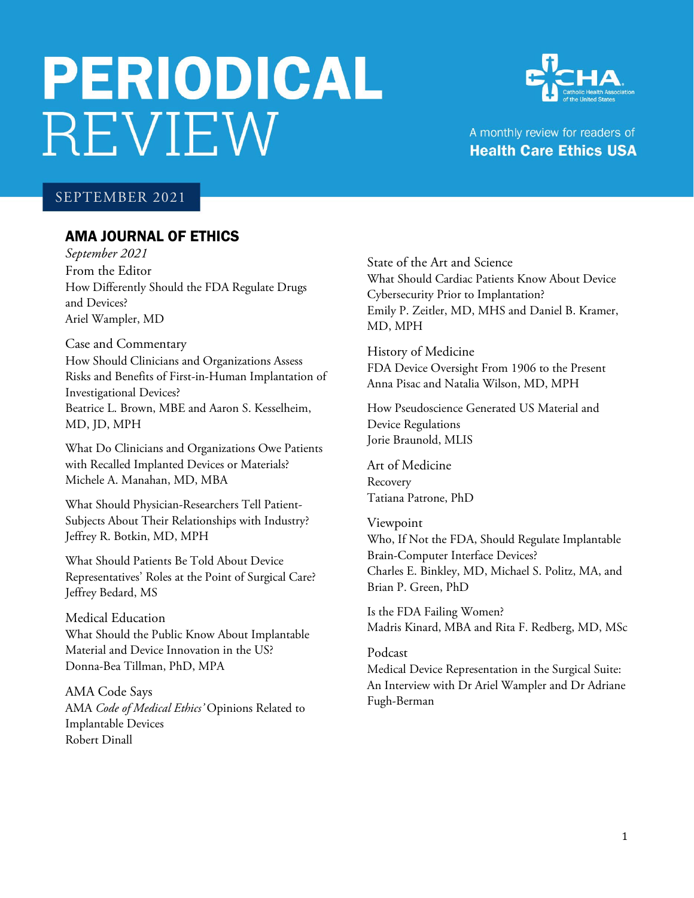# **PERIODICAL REVIEW**



A monthly review for readers of **Health Care Ethics USA** 

# SEPTEMBER 2021

# AMA JOURNAL OF ETHICS

*September 2021* From the Editor How Differently Should the FDA Regulate Drugs and Devices? Ariel Wampler, MD

Case and Commentary How Should Clinicians and Organizations Assess Risks and Benefits of First-in-Human Implantation of Investigational Devices? Beatrice L. Brown, MBE and Aaron S. Kesselheim, MD, JD, MPH

What Do Clinicians and Organizations Owe Patients with Recalled Implanted Devices or Materials? Michele A. Manahan, MD, MBA

What Should Physician-Researchers Tell Patient-Subjects About Their Relationships with Industry? Jeffrey R. Botkin, MD, MPH

What Should Patients Be Told About Device Representatives' Roles at the Point of Surgical Care? Jeffrey Bedard, MS

Medical Education What Should the Public Know About Implantable Material and Device Innovation in the US? Donna-Bea Tillman, PhD, MPA

AMA Code Says AMA *Code of Medical Ethics'* Opinions Related to Implantable Devices Robert Dinall

State of the Art and Science What Should Cardiac Patients Know About Device Cybersecurity Prior to Implantation? Emily P. Zeitler, MD, MHS and Daniel B. Kramer, MD, MPH

History of Medicine FDA Device Oversight From 1906 to the Present Anna Pisac and Natalia Wilson, MD, MPH

How Pseudoscience Generated US Material and Device Regulations Jorie Braunold, MLIS

Art of Medicine Recovery Tatiana Patrone, PhD

Viewpoint Who, If Not the FDA, Should Regulate Implantable Brain-Computer Interface Devices? Charles E. Binkley, MD, Michael S. Politz, MA, and Brian P. Green, PhD

Is the FDA Failing Women? Madris Kinard, MBA and Rita F. Redberg, MD, MSc

#### Podcast

Medical Device Representation in the Surgical Suite: An Interview with Dr Ariel Wampler and Dr Adriane Fugh-Berman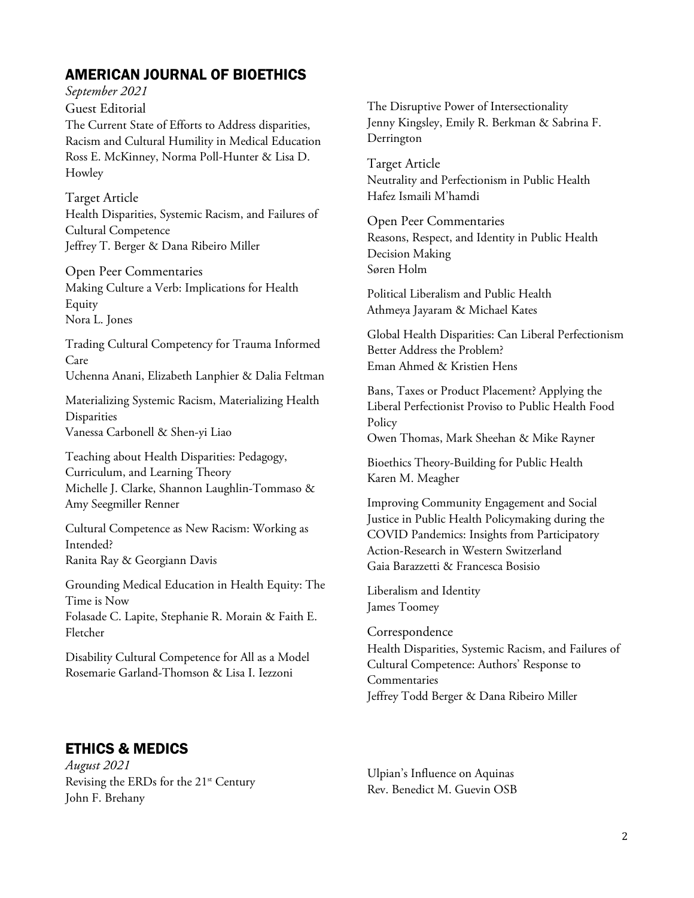# AMERICAN JOURNAL OF BIOETHICS

*September 2021*

Guest Editorial The Current State of Efforts to Address disparities, Racism and Cultural Humility in Medical Education Ross E. McKinney, Norma Poll-Hunter & Lisa D. Howley

Target Article Health Disparities, Systemic Racism, and Failures of Cultural Competence Jeffrey T. Berger & Dana Ribeiro Miller

Open Peer Commentaries Making Culture a Verb: Implications for Health Equity Nora L. Jones

Trading Cultural Competency for Trauma Informed Care Uchenna Anani, Elizabeth Lanphier & Dalia Feltman

Materializing Systemic Racism, Materializing Health Disparities Vanessa Carbonell & Shen-yi Liao

Teaching about Health Disparities: Pedagogy, Curriculum, and Learning Theory Michelle J. Clarke, Shannon Laughlin-Tommaso & Amy Seegmiller Renner

Cultural Competence as New Racism: Working as Intended? Ranita Ray & Georgiann Davis

Grounding Medical Education in Health Equity: The Time is Now Folasade C. Lapite, Stephanie R. Morain & Faith E. Fletcher

Disability Cultural Competence for All as a Model Rosemarie Garland-Thomson & Lisa I. Iezzoni

## The Disruptive Power of Intersectionality Jenny Kingsley, Emily R. Berkman & Sabrina F. Derrington

Target Article Neutrality and Perfectionism in Public Health Hafez Ismaili M'hamdi

Open Peer Commentaries Reasons, Respect, and Identity in Public Health Decision Making Søren Holm

Political Liberalism and Public Health Athmeya Jayaram & Michael Kates

Global Health Disparities: Can Liberal Perfectionism Better Address the Problem? Eman Ahmed & Kristien Hens

Bans, Taxes or Product Placement? Applying the Liberal Perfectionist Proviso to Public Health Food Policy

Owen Thomas, Mark Sheehan & Mike Rayner

Bioethics Theory-Building for Public Health Karen M. Meagher

Improving Community Engagement and Social Justice in Public Health Policymaking during the COVID Pandemics: Insights from Participatory Action-Research in Western Switzerland Gaia Barazzetti & Francesca Bosisio

Liberalism and Identity James Toomey

Correspondence Health Disparities, Systemic Racism, and Failures of Cultural Competence: Authors' Response to Commentaries Jeffrey Todd Berger & Dana Ribeiro Miller

# ETHICS & MEDICS

*August 2021* Revising the ERDs for the 21<sup>st</sup> Century John F. Brehany

Ulpian's Influence on Aquinas Rev. Benedict M. Guevin OSB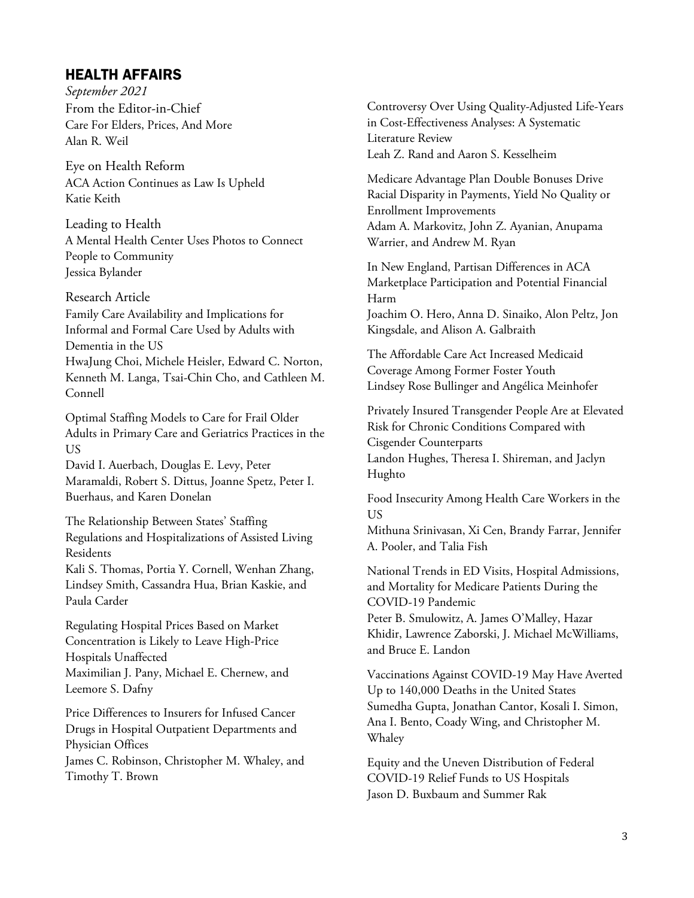# HEALTH AFFAIRS

*September 2021* From the Editor-in-Chief Care For Elders, Prices, And More Alan R. Weil

Eye on Health Reform ACA Action Continues as Law Is Upheld Katie Keith

Leading to Health A Mental Health Center Uses Photos to Connect People to Community Jessica Bylander

#### Research Article

Family Care Availability and Implications for Informal and Formal Care Used by Adults with Dementia in the US HwaJung Choi, Michele Heisler, Edward C. Norton, Kenneth M. Langa, Tsai-Chin Cho, and Cathleen M. Connell

Optimal Staffing Models to Care for Frail Older Adults in Primary Care and Geriatrics Practices in the US David I. Auerbach, Douglas E. Levy, Peter

Maramaldi, Robert S. Dittus, Joanne Spetz, Peter I. Buerhaus, and Karen Donelan

The Relationship Between States' Staffing Regulations and Hospitalizations of Assisted Living Residents Kali S. Thomas, Portia Y. Cornell, Wenhan Zhang, Lindsey Smith, Cassandra Hua, Brian Kaskie, and

Paula Carder

Regulating Hospital Prices Based on Market Concentration is Likely to Leave High-Price Hospitals Unaffected Maximilian J. Pany, Michael E. Chernew, and Leemore S. Dafny

Price Differences to Insurers for Infused Cancer Drugs in Hospital Outpatient Departments and Physician Offices James C. Robinson, Christopher M. Whaley, and Timothy T. Brown

Controversy Over Using Quality-Adjusted Life-Years in Cost-Effectiveness Analyses: A Systematic Literature Review Leah Z. Rand and Aaron S. Kesselheim

Medicare Advantage Plan Double Bonuses Drive Racial Disparity in Payments, Yield No Quality or Enrollment Improvements Adam A. Markovitz, John Z. Ayanian, Anupama Warrier, and Andrew M. Ryan

In New England, Partisan Differences in ACA Marketplace Participation and Potential Financial Harm Joachim O. Hero, Anna D. Sinaiko, Alon Peltz, Jon Kingsdale, and Alison A. Galbraith

The Affordable Care Act Increased Medicaid Coverage Among Former Foster Youth Lindsey Rose Bullinger and Angélica Meinhofer

Privately Insured Transgender People Are at Elevated Risk for Chronic Conditions Compared with Cisgender Counterparts Landon Hughes, Theresa I. Shireman, and Jaclyn Hughto

Food Insecurity Among Health Care Workers in the US

Mithuna Srinivasan, Xi Cen, Brandy Farrar, Jennifer A. Pooler, and Talia Fish

National Trends in ED Visits, Hospital Admissions, and Mortality for Medicare Patients During the COVID-19 Pandemic

Peter B. Smulowitz, A. James O'Malley, Hazar Khidir, Lawrence Zaborski, J. Michael McWilliams, and Bruce E. Landon

Vaccinations Against COVID-19 May Have Averted Up to 140,000 Deaths in the United States Sumedha Gupta, Jonathan Cantor, Kosali I. Simon, Ana I. Bento, Coady Wing, and Christopher M. Whaley

Equity and the Uneven Distribution of Federal COVID-19 Relief Funds to US Hospitals Jason D. Buxbaum and Summer Rak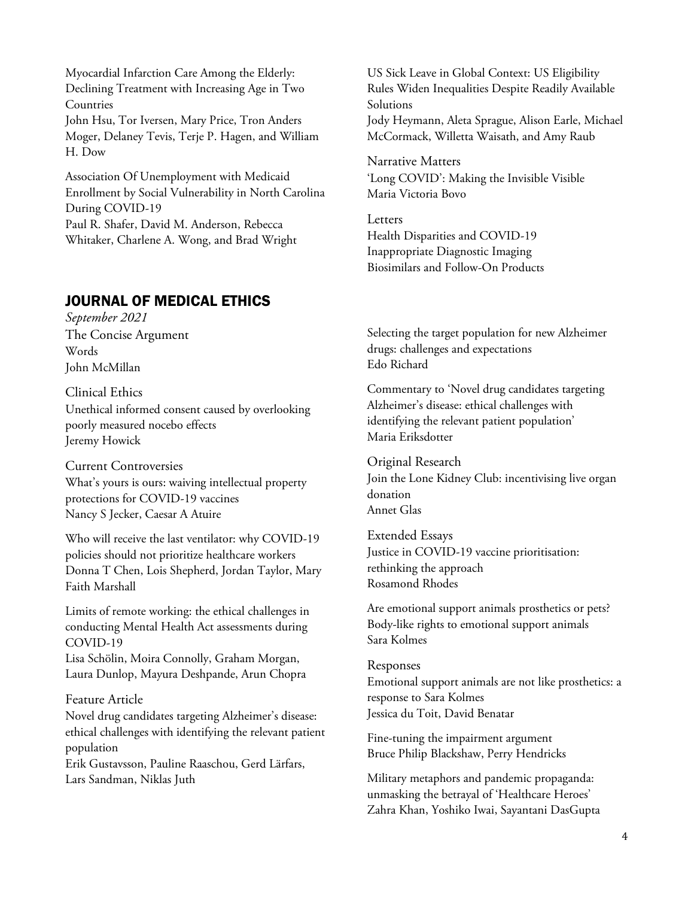Myocardial Infarction Care Among the Elderly: Declining Treatment with Increasing Age in Two Countries John Hsu, Tor Iversen, Mary Price, Tron Anders Moger, Delaney Tevis, Terje P. Hagen, and William H. Dow

Association Of Unemployment with Medicaid Enrollment by Social Vulnerability in North Carolina During COVID-19 Paul R. Shafer, David M. Anderson, Rebecca Whitaker, Charlene A. Wong, and Brad Wright

# JOURNAL OF MEDICAL ETHICS

*September 2021* The Concise Argument Words John McMillan

Clinical Ethics Unethical informed consent caused by overlooking poorly measured nocebo effects Jeremy Howick

## Current Controversies

What's yours is ours: waiving intellectual property protections for COVID-19 vaccines Nancy S Jecker, Caesar A Atuire

Who will receive the last ventilator: why COVID-19 policies should not prioritize healthcare workers Donna T Chen, Lois Shepherd, Jordan Taylor, Mary Faith Marshall

Limits of remote working: the ethical challenges in conducting Mental Health Act assessments during COVID-19

Lisa Schölin, Moira Connolly, Graham Morgan, Laura Dunlop, Mayura Deshpande, Arun Chopra

## Feature Article

Novel drug candidates targeting Alzheimer's disease: ethical challenges with identifying the relevant patient population

Erik Gustavsson, Pauline Raaschou, Gerd Lärfars, Lars Sandman, Niklas Juth

US Sick Leave in Global Context: US Eligibility Rules Widen Inequalities Despite Readily Available Solutions Jody Heymann, Aleta Sprague, Alison Earle, Michael McCormack, Willetta Waisath, and Amy Raub

Narrative Matters 'Long COVID': Making the Invisible Visible Maria Victoria Bovo

Letters Health Disparities and COVID-19 Inappropriate Diagnostic Imaging Biosimilars and Follow-On Products

Selecting the target population for new Alzheimer drugs: challenges and expectations Edo Richard

Commentary to 'Novel drug candidates targeting Alzheimer's disease: ethical challenges with identifying the relevant patient population' Maria Eriksdotter

Original Research Join the Lone Kidney Club: incentivising live organ donation Annet Glas

Extended Essays Justice in COVID-19 vaccine prioritisation: rethinking the approach Rosamond Rhodes

Are emotional support animals prosthetics or pets? Body-like rights to emotional support animals Sara Kolmes

Responses Emotional support animals are not like prosthetics: a response to Sara Kolmes Jessica du Toit, David Benatar

Fine-tuning the impairment argument Bruce Philip Blackshaw, Perry Hendricks

Military metaphors and pandemic propaganda: unmasking the betrayal of 'Healthcare Heroes' Zahra Khan, Yoshiko Iwai, Sayantani DasGupta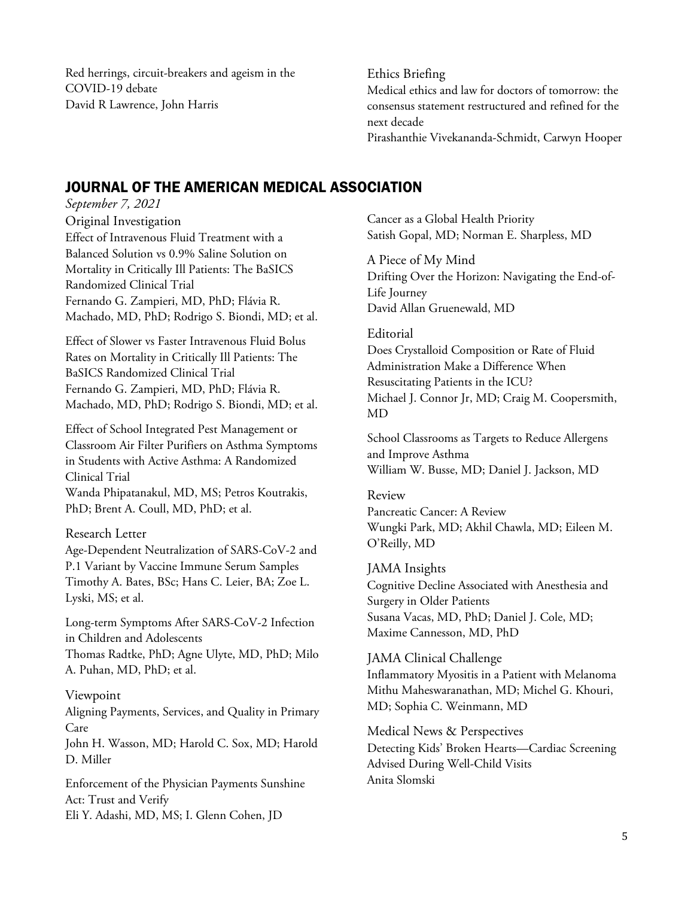Red herrings, circuit-breakers and ageism in the COVID-19 debate David R Lawrence, John Harris

## Ethics Briefing Medical ethics and law for doctors of tomorrow: the consensus statement restructured and refined for the next decade

Pirashanthie Vivekananda-Schmidt, Carwyn Hooper

# JOURNAL OF THE AMERICAN MEDICAL ASSOCIATION

*September 7, 2021* Original Investigation Effect of Intravenous Fluid Treatment with a Balanced Solution vs 0.9% Saline Solution on Mortality in Critically Ill Patients: The BaSICS Randomized Clinical Trial Fernando G. Zampieri, MD, PhD; Flávia R. Machado, MD, PhD; Rodrigo S. Biondi, MD; et al.

Effect of Slower vs Faster Intravenous Fluid Bolus Rates on Mortality in Critically Ill Patients: The BaSICS Randomized Clinical Trial Fernando G. Zampieri, MD, PhD; Flávia R. Machado, MD, PhD; Rodrigo S. Biondi, MD; et al.

Effect of School Integrated Pest Management or Classroom Air Filter Purifiers on Asthma Symptoms in Students with Active Asthma: A Randomized Clinical Trial Wanda Phipatanakul, MD, MS; Petros Koutrakis, PhD; Brent A. Coull, MD, PhD; et al.

## Research Letter

Age-Dependent Neutralization of SARS-CoV-2 and P.1 Variant by Vaccine Immune Serum Samples Timothy A. Bates, BSc; Hans C. Leier, BA; Zoe L. Lyski, MS; et al.

Long-term Symptoms After SARS-CoV-2 Infection in Children and Adolescents Thomas Radtke, PhD; Agne Ulyte, MD, PhD; Milo A. Puhan, MD, PhD; et al.

## Viewpoint

Aligning Payments, Services, and Quality in Primary Care

John H. Wasson, MD; Harold C. Sox, MD; Harold D. Miller

Enforcement of the Physician Payments Sunshine Act: Trust and Verify Eli Y. Adashi, MD, MS; I. Glenn Cohen, JD

Cancer as a Global Health Priority Satish Gopal, MD; Norman E. Sharpless, MD

A Piece of My Mind Drifting Over the Horizon: Navigating the End-of-Life Journey David Allan Gruenewald, MD

## Editorial

Does Crystalloid Composition or Rate of Fluid Administration Make a Difference When Resuscitating Patients in the ICU? Michael J. Connor Jr, MD; Craig M. Coopersmith, MD

School Classrooms as Targets to Reduce Allergens and Improve Asthma William W. Busse, MD; Daniel J. Jackson, MD

## Review

Pancreatic Cancer: A Review Wungki Park, MD; Akhil Chawla, MD; Eileen M. O'Reilly, MD

JAMA Insights Cognitive Decline Associated with Anesthesia and Surgery in Older Patients Susana Vacas, MD, PhD; Daniel J. Cole, MD; Maxime Cannesson, MD, PhD

## JAMA Clinical Challenge

Inflammatory Myositis in a Patient with Melanoma Mithu Maheswaranathan, MD; Michel G. Khouri, MD; Sophia C. Weinmann, MD

Medical News & Perspectives Detecting Kids' Broken Hearts—Cardiac Screening Advised During Well-Child Visits Anita Slomski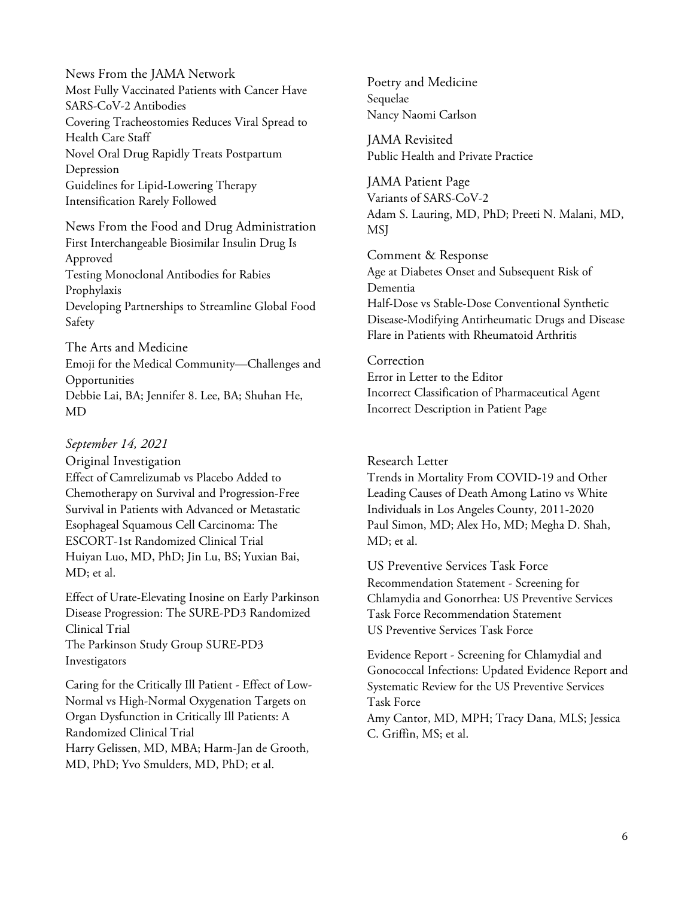News From the JAMA Network Most Fully Vaccinated Patients with Cancer Have SARS-CoV-2 Antibodies Covering Tracheostomies Reduces Viral Spread to Health Care Staff Novel Oral Drug Rapidly Treats Postpartum Depression Guidelines for Lipid-Lowering Therapy Intensification Rarely Followed

News From the Food and Drug Administration First Interchangeable Biosimilar Insulin Drug Is Approved Testing Monoclonal Antibodies for Rabies Prophylaxis Developing Partnerships to Streamline Global Food Safety

The Arts and Medicine Emoji for the Medical Community—Challenges and **Opportunities** Debbie Lai, BA; Jennifer 8. Lee, BA; Shuhan He, MD

#### *September 14, 2021*

Original Investigation Effect of Camrelizumab vs Placebo Added to Chemotherapy on Survival and Progression-Free Survival in Patients with Advanced or Metastatic Esophageal Squamous Cell Carcinoma: The ESCORT-1st Randomized Clinical Trial Huiyan Luo, MD, PhD; Jin Lu, BS; Yuxian Bai, MD; et al.

Effect of Urate-Elevating Inosine on Early Parkinson Disease Progression: The SURE-PD3 Randomized Clinical Trial The Parkinson Study Group SURE-PD3 Investigators

Caring for the Critically Ill Patient - Effect of Low-Normal vs High-Normal Oxygenation Targets on Organ Dysfunction in Critically Ill Patients: A Randomized Clinical Trial Harry Gelissen, MD, MBA; Harm-Jan de Grooth, MD, PhD; Yvo Smulders, MD, PhD; et al.

Poetry and Medicine Sequelae Nancy Naomi Carlson

JAMA Revisited Public Health and Private Practice

JAMA Patient Page Variants of SARS-CoV-2 Adam S. Lauring, MD, PhD; Preeti N. Malani, MD, MSJ

Comment & Response Age at Diabetes Onset and Subsequent Risk of Dementia Half-Dose vs Stable-Dose Conventional Synthetic Disease-Modifying Antirheumatic Drugs and Disease Flare in Patients with Rheumatoid Arthritis

Correction Error in Letter to the Editor Incorrect Classification of Pharmaceutical Agent Incorrect Description in Patient Page

#### Research Letter

Trends in Mortality From COVID-19 and Other Leading Causes of Death Among Latino vs White Individuals in Los Angeles County, 2011-2020 Paul Simon, MD; Alex Ho, MD; Megha D. Shah, MD; et al.

US Preventive Services Task Force Recommendation Statement - Screening for Chlamydia and Gonorrhea: US Preventive Services Task Force Recommendation Statement US Preventive Services Task Force

Evidence Report - Screening for Chlamydial and Gonococcal Infections: Updated Evidence Report and Systematic Review for the US Preventive Services Task Force Amy Cantor, MD, MPH; Tracy Dana, MLS; Jessica C. Griffin, MS; et al.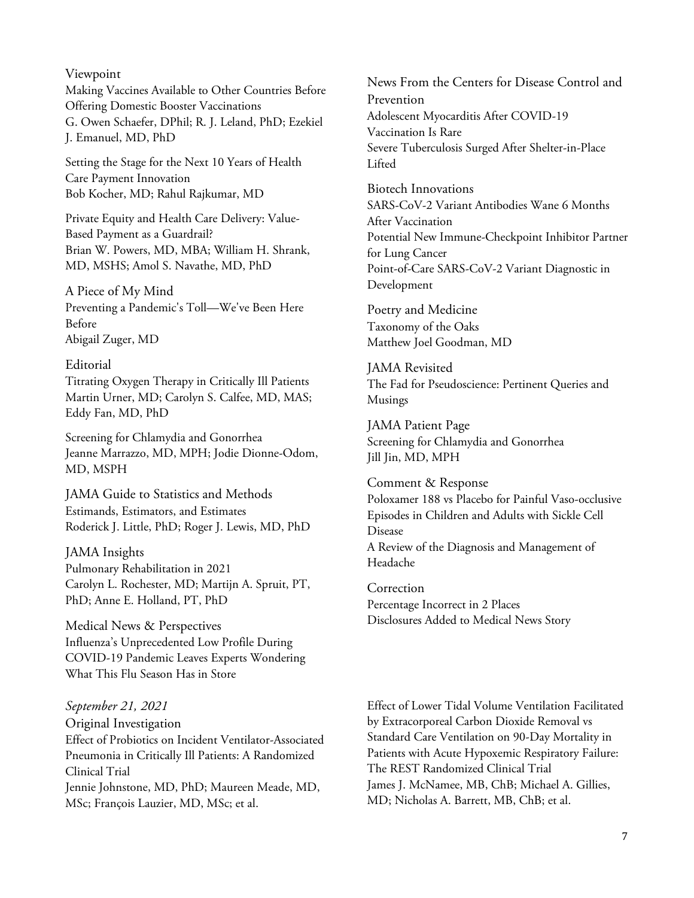#### Viewpoint

Making Vaccines Available to Other Countries Before Offering Domestic Booster Vaccinations G. Owen Schaefer, DPhil; R. J. Leland, PhD; Ezekiel J. Emanuel, MD, PhD

Setting the Stage for the Next 10 Years of Health Care Payment Innovation Bob Kocher, MD; Rahul Rajkumar, MD

Private Equity and Health Care Delivery: Value-Based Payment as a Guardrail? Brian W. Powers, MD, MBA; William H. Shrank, MD, MSHS; Amol S. Navathe, MD, PhD

## A Piece of My Mind

Preventing a Pandemic's Toll—We've Been Here Before Abigail Zuger, MD

#### Editorial

Titrating Oxygen Therapy in Critically Ill Patients Martin Urner, MD; Carolyn S. Calfee, MD, MAS; Eddy Fan, MD, PhD

Screening for Chlamydia and Gonorrhea Jeanne Marrazzo, MD, MPH; Jodie Dionne-Odom, MD, MSPH

JAMA Guide to Statistics and Methods Estimands, Estimators, and Estimates Roderick J. Little, PhD; Roger J. Lewis, MD, PhD

JAMA Insights Pulmonary Rehabilitation in 2021 Carolyn L. Rochester, MD; Martijn A. Spruit, PT, PhD; Anne E. Holland, PT, PhD

Medical News & Perspectives Influenza's Unprecedented Low Profile During COVID-19 Pandemic Leaves Experts Wondering What This Flu Season Has in Store

## *September 21, 2021* Original Investigation

Effect of Probiotics on Incident Ventilator-Associated Pneumonia in Critically Ill Patients: A Randomized Clinical Trial Jennie Johnstone, MD, PhD; Maureen Meade, MD, MSc; François Lauzier, MD, MSc; et al.

News From the Centers for Disease Control and Prevention Adolescent Myocarditis After COVID-19 Vaccination Is Rare Severe Tuberculosis Surged After Shelter-in-Place Lifted

Biotech Innovations SARS-CoV-2 Variant Antibodies Wane 6 Months After Vaccination Potential New Immune-Checkpoint Inhibitor Partner for Lung Cancer Point-of-Care SARS-CoV-2 Variant Diagnostic in Development

Poetry and Medicine Taxonomy of the Oaks Matthew Joel Goodman, MD

JAMA Revisited The Fad for Pseudoscience: Pertinent Queries and Musings

JAMA Patient Page Screening for Chlamydia and Gonorrhea Jill Jin, MD, MPH

Comment & Response Poloxamer 188 vs Placebo for Painful Vaso-occlusive Episodes in Children and Adults with Sickle Cell Disease A Review of the Diagnosis and Management of Headache

Correction Percentage Incorrect in 2 Places Disclosures Added to Medical News Story

Effect of Lower Tidal Volume Ventilation Facilitated by Extracorporeal Carbon Dioxide Removal vs Standard Care Ventilation on 90-Day Mortality in Patients with Acute Hypoxemic Respiratory Failure: The REST Randomized Clinical Trial James J. McNamee, MB, ChB; Michael A. Gillies, MD; Nicholas A. Barrett, MB, ChB; et al.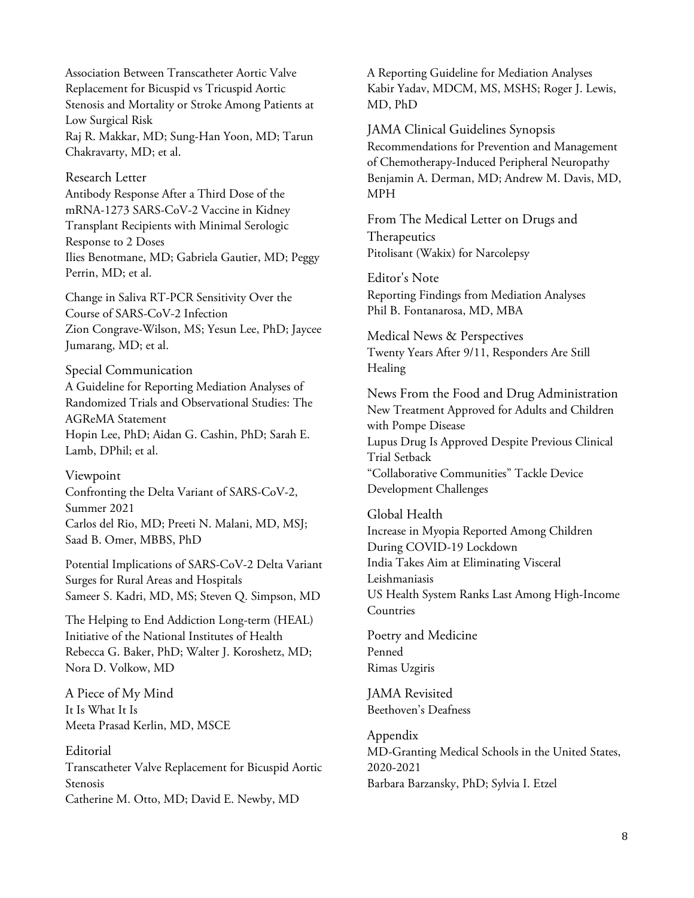Association Between Transcatheter Aortic Valve Replacement for Bicuspid vs Tricuspid Aortic Stenosis and Mortality or Stroke Among Patients at Low Surgical Risk Raj R. Makkar, MD; Sung-Han Yoon, MD; Tarun Chakravarty, MD; et al.

Research Letter Antibody Response After a Third Dose of the mRNA-1273 SARS-CoV-2 Vaccine in Kidney Transplant Recipients with Minimal Serologic Response to 2 Doses Ilies Benotmane, MD; Gabriela Gautier, MD; Peggy Perrin, MD; et al.

Change in Saliva RT-PCR Sensitivity Over the Course of SARS-CoV-2 Infection Zion Congrave-Wilson, MS; Yesun Lee, PhD; Jaycee Jumarang, MD; et al.

Special Communication

A Guideline for Reporting Mediation Analyses of Randomized Trials and Observational Studies: The AGReMA Statement Hopin Lee, PhD; Aidan G. Cashin, PhD; Sarah E. Lamb, DPhil; et al.

Viewpoint

Confronting the Delta Variant of SARS-CoV-2, Summer 2021 Carlos del Rio, MD; Preeti N. Malani, MD, MSJ; Saad B. Omer, MBBS, PhD

Potential Implications of SARS-CoV-2 Delta Variant Surges for Rural Areas and Hospitals Sameer S. Kadri, MD, MS; Steven Q. Simpson, MD

The Helping to End Addiction Long-term (HEAL) Initiative of the National Institutes of Health Rebecca G. Baker, PhD; Walter J. Koroshetz, MD; Nora D. Volkow, MD

A Piece of My Mind It Is What It Is Meeta Prasad Kerlin, MD, MSCE

Editorial Transcatheter Valve Replacement for Bicuspid Aortic Stenosis Catherine M. Otto, MD; David E. Newby, MD

A Reporting Guideline for Mediation Analyses Kabir Yadav, MDCM, MS, MSHS; Roger J. Lewis, MD, PhD

JAMA Clinical Guidelines Synopsis Recommendations for Prevention and Management of Chemotherapy-Induced Peripheral Neuropathy Benjamin A. Derman, MD; Andrew M. Davis, MD, MPH

From The Medical Letter on Drugs and Therapeutics Pitolisant (Wakix) for Narcolepsy

Editor's Note Reporting Findings from Mediation Analyses Phil B. Fontanarosa, MD, MBA

Medical News & Perspectives Twenty Years After 9/11, Responders Are Still Healing

News From the Food and Drug Administration New Treatment Approved for Adults and Children with Pompe Disease Lupus Drug Is Approved Despite Previous Clinical Trial Setback "Collaborative Communities" Tackle Device Development Challenges

Global Health Increase in Myopia Reported Among Children During COVID-19 Lockdown India Takes Aim at Eliminating Visceral Leishmaniasis US Health System Ranks Last Among High-Income **Countries** 

Poetry and Medicine Penned Rimas Uzgiris

JAMA Revisited Beethoven's Deafness

Appendix MD-Granting Medical Schools in the United States, 2020-2021 Barbara Barzansky, PhD; Sylvia I. Etzel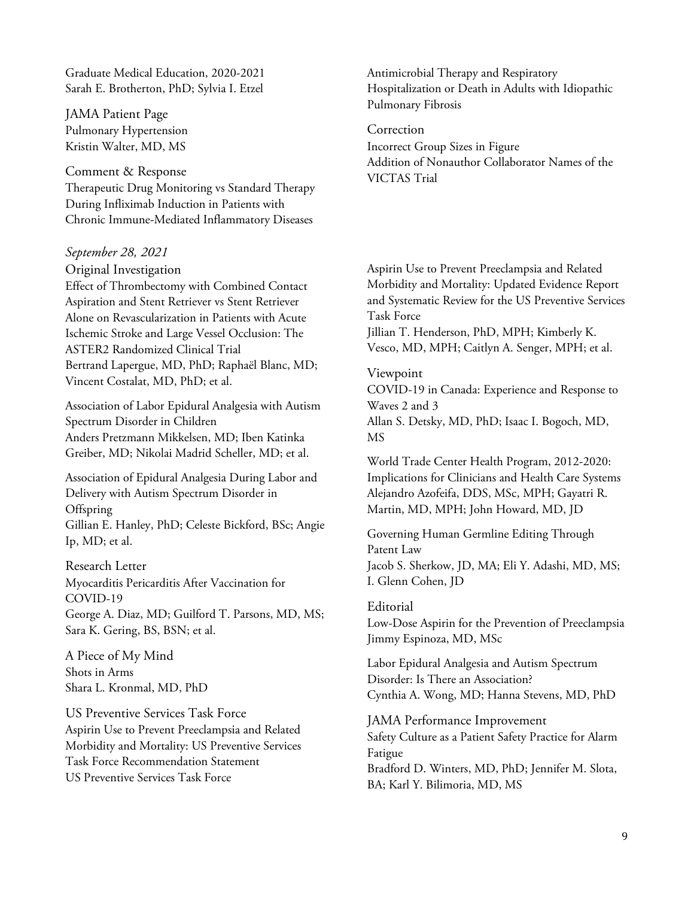Graduate Medical Education, 2020-2021 Sarah E. Brotherton, PhD; Sylvia I. Etzel

JAMA Patient Page Pulmonary Hypertension Kristin Walter, MD, MS

Comment & Response Therapeutic Drug Monitoring vs Standard Therapy During Infliximab Induction in Patients with Chronic Immune-Mediated Inflammatory Diseases

*September 28, 2021*

Original Investigation Effect of Thrombectomy with Combined Contact Aspiration and Stent Retriever vs Stent Retriever Alone on Revascularization in Patients with Acute Ischemic Stroke and Large Vessel Occlusion: The ASTER2 Randomized Clinical Trial Bertrand Lapergue, MD, PhD; Raphaël Blanc, MD; Vincent Costalat, MD, PhD; et al.

Association of Labor Epidural Analgesia with Autism Spectrum Disorder in Children Anders Pretzmann Mikkelsen, MD; Iben Katinka Greiber, MD; Nikolai Madrid Scheller, MD; et al.

Association of Epidural Analgesia During Labor and Delivery with Autism Spectrum Disorder in **Offspring** Gillian E. Hanley, PhD; Celeste Bickford, BSc; Angie Ip, MD; et al.

Research Letter Myocarditis Pericarditis After Vaccination for COVID-19 George A. Diaz, MD; Guilford T. Parsons, MD, MS; Sara K. Gering, BS, BSN; et al.

A Piece of My Mind Shots in Arms Shara L. Kronmal, MD, PhD

US Preventive Services Task Force Aspirin Use to Prevent Preeclampsia and Related Morbidity and Mortality: US Preventive Services Task Force Recommendation Statement US Preventive Services Task Force

Antimicrobial Therapy and Respiratory Hospitalization or Death in Adults with Idiopathic Pulmonary Fibrosis

Correction Incorrect Group Sizes in Figure Addition of Nonauthor Collaborator Names of the VICTAS Trial

Aspirin Use to Prevent Preeclampsia and Related Morbidity and Mortality: Updated Evidence Report and Systematic Review for the US Preventive Services Task Force

Jillian T. Henderson, PhD, MPH; Kimberly K. Vesco, MD, MPH; Caitlyn A. Senger, MPH; et al.

Viewpoint

COVID-19 in Canada: Experience and Response to Waves 2 and 3 Allan S. Detsky, MD, PhD; Isaac I. Bogoch, MD, MS

World Trade Center Health Program, 2012-2020: Implications for Clinicians and Health Care Systems Alejandro Azofeifa, DDS, MSc, MPH; Gayatri R. Martin, MD, MPH; John Howard, MD, JD

Governing Human Germline Editing Through Patent Law Jacob S. Sherkow, JD, MA; Eli Y. Adashi, MD, MS; I. Glenn Cohen, JD

Editorial

Low-Dose Aspirin for the Prevention of Preeclampsia Jimmy Espinoza, MD, MSc

Labor Epidural Analgesia and Autism Spectrum Disorder: Is There an Association? Cynthia A. Wong, MD; Hanna Stevens, MD, PhD

JAMA Performance Improvement Safety Culture as a Patient Safety Practice for Alarm Fatigue Bradford D. Winters, MD, PhD; Jennifer M. Slota, BA; Karl Y. Bilimoria, MD, MS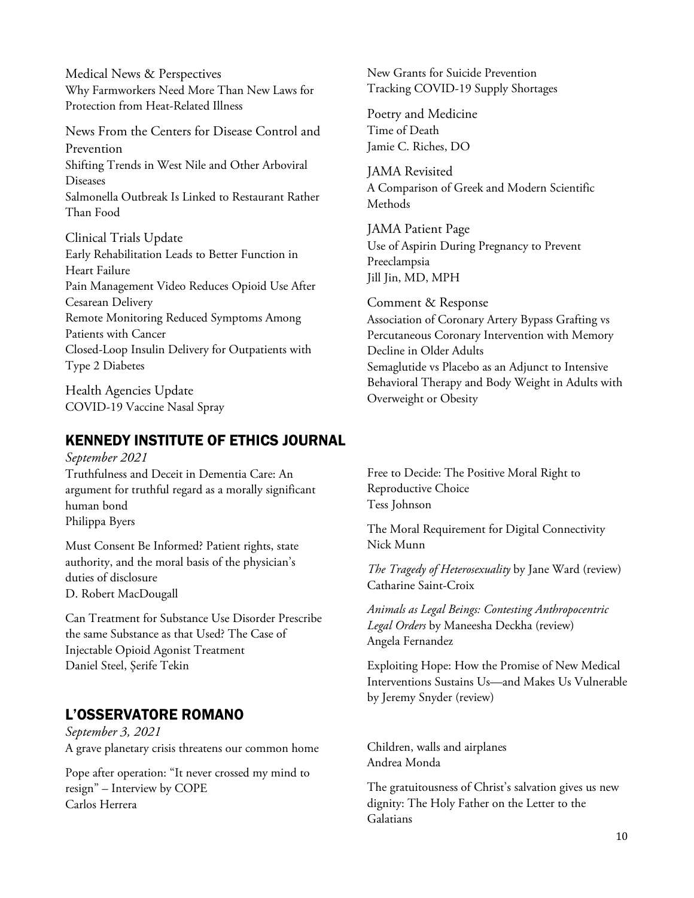Medical News & Perspectives Why Farmworkers Need More Than New Laws for Protection from Heat-Related Illness

News From the Centers for Disease Control and Prevention Shifting Trends in West Nile and Other Arboviral Diseases Salmonella Outbreak Is Linked to Restaurant Rather Than Food

Clinical Trials Update Early Rehabilitation Leads to Better Function in Heart Failure Pain Management Video Reduces Opioid Use After Cesarean Delivery Remote Monitoring Reduced Symptoms Among Patients with Cancer Closed-Loop Insulin Delivery for Outpatients with Type 2 Diabetes

Health Agencies Update COVID-19 Vaccine Nasal Spray

# KENNEDY INSTITUTE OF ETHICS JOURNAL

*September 2021* Truthfulness and Deceit in Dementia Care: An argument for truthful regard as a morally significant human bond Philippa Byers

Must Consent Be Informed? Patient rights, state authority, and the moral basis of the physician's duties of disclosure D. Robert MacDougall

Can Treatment for Substance Use Disorder Prescribe the same Substance as that Used? The Case of Injectable Opioid Agonist Treatment Daniel Steel, Şerife Tekin

# L'OSSERVATORE ROMANO

*September 3, 2021* A grave planetary crisis threatens our common home

Pope after operation: "It never crossed my mind to resign" – Interview by COPE Carlos Herrera

New Grants for Suicide Prevention Tracking COVID-19 Supply Shortages

Poetry and Medicine Time of Death Jamie C. Riches, DO

JAMA Revisited A Comparison of Greek and Modern Scientific Methods

JAMA Patient Page Use of Aspirin During Pregnancy to Prevent Preeclampsia Jill Jin, MD, MPH

Comment & Response Association of Coronary Artery Bypass Grafting vs Percutaneous Coronary Intervention with Memory Decline in Older Adults Semaglutide vs Placebo as an Adjunct to Intensive Behavioral Therapy and Body Weight in Adults with Overweight or Obesity

Free to Decide: The Positive Moral Right to Reproductive Choice Tess Johnson

The Moral Requirement for Digital Connectivity Nick Munn

*The Tragedy of Heterosexuality* by Jane Ward (review) Catharine Saint-Croix

*Animals as Legal Beings: Contesting Anthropocentric Legal Orders* by Maneesha Deckha (review) Angela Fernandez

Exploiting Hope: How the Promise of New Medical Interventions Sustains Us—and Makes Us Vulnerable by Jeremy Snyder (review)

Children, walls and airplanes Andrea Monda

The gratuitousness of Christ's salvation gives us new dignity: The Holy Father on the Letter to the Galatians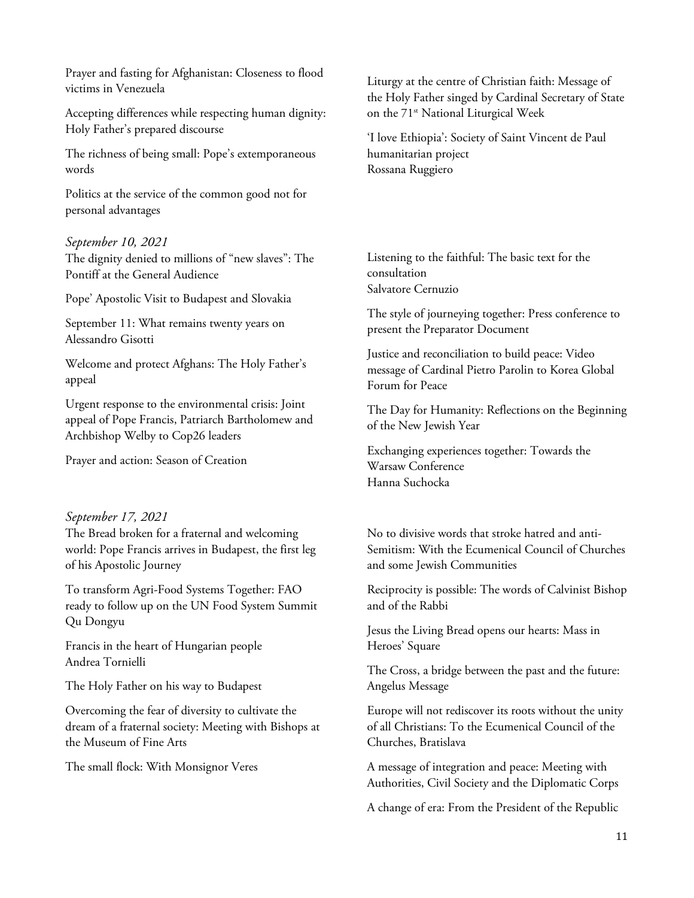Prayer and fasting for Afghanistan: Closeness to flood victims in Venezuela

Accepting differences while respecting human dignity: Holy Father's prepared discourse

The richness of being small: Pope's extemporaneous words

Politics at the service of the common good not for personal advantages

#### *September 10, 2021*

The dignity denied to millions of "new slaves": The Pontiff at the General Audience

Pope' Apostolic Visit to Budapest and Slovakia

September 11: What remains twenty years on Alessandro Gisotti

Welcome and protect Afghans: The Holy Father's appeal

Urgent response to the environmental crisis: Joint appeal of Pope Francis, Patriarch Bartholomew and Archbishop Welby to Cop26 leaders

Prayer and action: Season of Creation

#### *September 17, 2021*

The Bread broken for a fraternal and welcoming world: Pope Francis arrives in Budapest, the first leg of his Apostolic Journey

To transform Agri-Food Systems Together: FAO ready to follow up on the UN Food System Summit Qu Dongyu

Francis in the heart of Hungarian people Andrea Tornielli

The Holy Father on his way to Budapest

Overcoming the fear of diversity to cultivate the dream of a fraternal society: Meeting with Bishops at the Museum of Fine Arts

The small flock: With Monsignor Veres

Liturgy at the centre of Christian faith: Message of the Holy Father singed by Cardinal Secretary of State on the 71<sup>st</sup> National Liturgical Week

'I love Ethiopia': Society of Saint Vincent de Paul humanitarian project Rossana Ruggiero

Listening to the faithful: The basic text for the consultation Salvatore Cernuzio

The style of journeying together: Press conference to present the Preparator Document

Justice and reconciliation to build peace: Video message of Cardinal Pietro Parolin to Korea Global Forum for Peace

The Day for Humanity: Reflections on the Beginning of the New Jewish Year

Exchanging experiences together: Towards the Warsaw Conference Hanna Suchocka

No to divisive words that stroke hatred and anti-Semitism: With the Ecumenical Council of Churches and some Jewish Communities

Reciprocity is possible: The words of Calvinist Bishop and of the Rabbi

Jesus the Living Bread opens our hearts: Mass in Heroes' Square

The Cross, a bridge between the past and the future: Angelus Message

Europe will not rediscover its roots without the unity of all Christians: To the Ecumenical Council of the Churches, Bratislava

A message of integration and peace: Meeting with Authorities, Civil Society and the Diplomatic Corps

A change of era: From the President of the Republic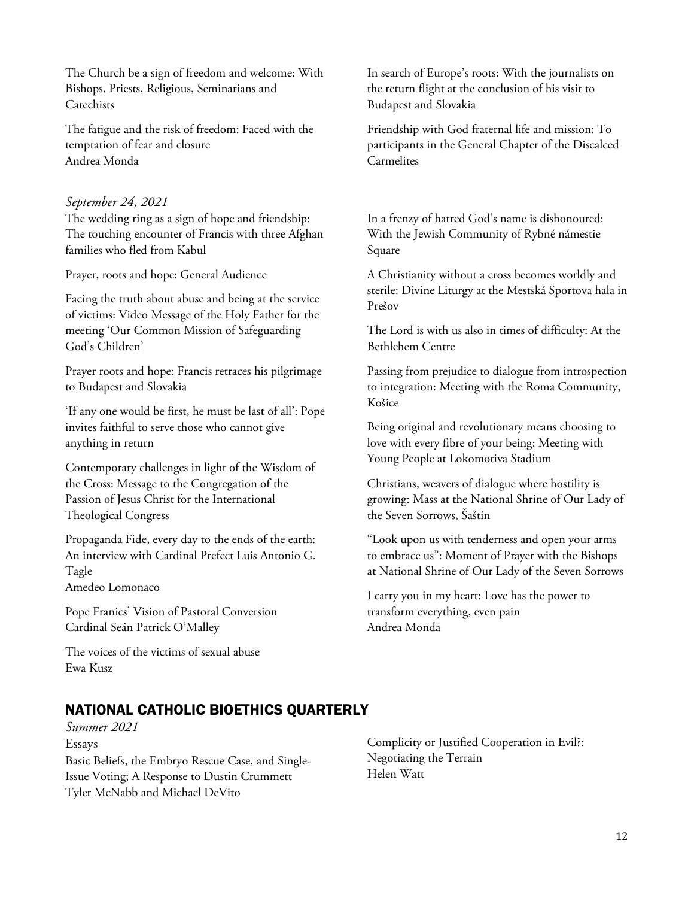The Church be a sign of freedom and welcome: With Bishops, Priests, Religious, Seminarians and **Catechists** 

The fatigue and the risk of freedom: Faced with the temptation of fear and closure Andrea Monda

## *September 24, 2021*

The wedding ring as a sign of hope and friendship: The touching encounter of Francis with three Afghan families who fled from Kabul

Prayer, roots and hope: General Audience

Facing the truth about abuse and being at the service of victims: Video Message of the Holy Father for the meeting 'Our Common Mission of Safeguarding God's Children'

Prayer roots and hope: Francis retraces his pilgrimage to Budapest and Slovakia

'If any one would be first, he must be last of all': Pope invites faithful to serve those who cannot give anything in return

Contemporary challenges in light of the Wisdom of the Cross: Message to the Congregation of the Passion of Jesus Christ for the International Theological Congress

Propaganda Fide, every day to the ends of the earth: An interview with Cardinal Prefect Luis Antonio G. Tagle Amedeo Lomonaco

Pope Franics' Vision of Pastoral Conversion Cardinal Seán Patrick O'Malley

The voices of the victims of sexual abuse Ewa Kusz

In search of Europe's roots: With the journalists on the return flight at the conclusion of his visit to Budapest and Slovakia

Friendship with God fraternal life and mission: To participants in the General Chapter of the Discalced Carmelites

In a frenzy of hatred God's name is dishonoured: With the Jewish Community of Rybné námestie Square

A Christianity without a cross becomes worldly and sterile: Divine Liturgy at the Mestská Sportova hala in Prešov

The Lord is with us also in times of difficulty: At the Bethlehem Centre

Passing from prejudice to dialogue from introspection to integration: Meeting with the Roma Community, Košice

Being original and revolutionary means choosing to love with every fibre of your being: Meeting with Young People at Lokomotiva Stadium

Christians, weavers of dialogue where hostility is growing: Mass at the National Shrine of Our Lady of the Seven Sorrows, Šaštín

"Look upon us with tenderness and open your arms to embrace us": Moment of Prayer with the Bishops at National Shrine of Our Lady of the Seven Sorrows

I carry you in my heart: Love has the power to transform everything, even pain Andrea Monda

# NATIONAL CATHOLIC BIOETHICS QUARTERLY

*Summer 2021* Essays Basic Beliefs, the Embryo Rescue Case, and Single-Issue Voting; A Response to Dustin Crummett Tyler McNabb and Michael DeVito

Complicity or Justified Cooperation in Evil?: Negotiating the Terrain Helen Watt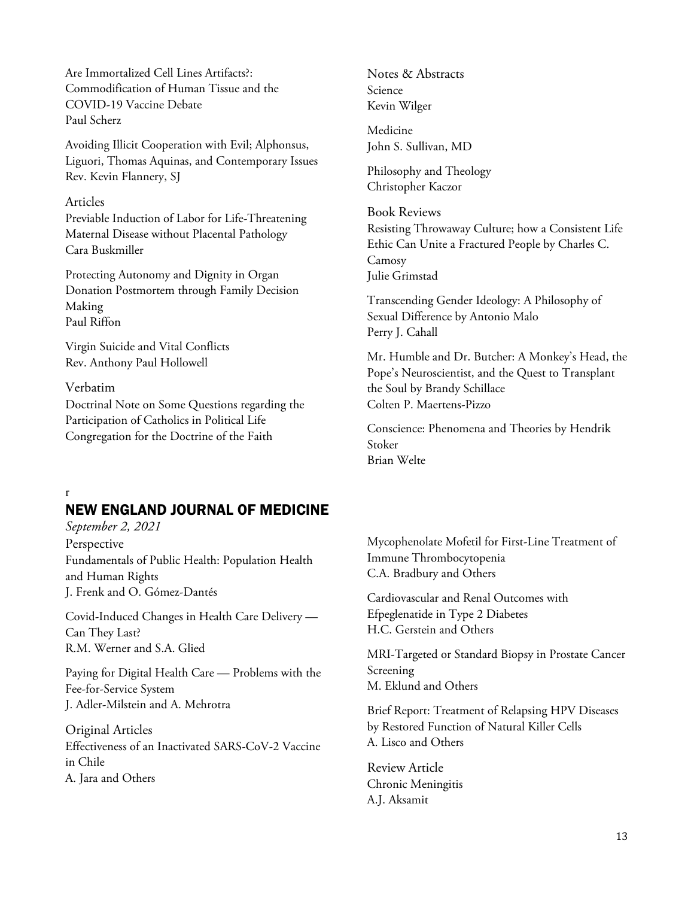Are Immortalized Cell Lines Artifacts?: Commodification of Human Tissue and the COVID-19 Vaccine Debate Paul Scherz

Avoiding Illicit Cooperation with Evil; Alphonsus, Liguori, Thomas Aquinas, and Contemporary Issues Rev. Kevin Flannery, SJ

#### Articles

Previable Induction of Labor for Life-Threatening Maternal Disease without Placental Pathology Cara Buskmiller

Protecting Autonomy and Dignity in Organ Donation Postmortem through Family Decision Making Paul Riffon

Virgin Suicide and Vital Conflicts Rev. Anthony Paul Hollowell

#### Verbatim

Doctrinal Note on Some Questions regarding the Participation of Catholics in Political Life Congregation for the Doctrine of the Faith

Notes & Abstracts Science Kevin Wilger

Medicine John S. Sullivan, MD

Philosophy and Theology Christopher Kaczor

Book Reviews Resisting Throwaway Culture; how a Consistent Life Ethic Can Unite a Fractured People by Charles C. Camosy Julie Grimstad

Transcending Gender Ideology: A Philosophy of Sexual Difference by Antonio Malo Perry J. Cahall

Mr. Humble and Dr. Butcher: A Monkey's Head, the Pope's Neuroscientist, and the Quest to Transplant the Soul by Brandy Schillace Colten P. Maertens-Pizzo

Conscience: Phenomena and Theories by Hendrik Stoker Brian Welte

r

# NEW ENGLAND JOURNAL OF MEDICINE

*September 2, 2021* Perspective Fundamentals of Public Health: Population Health and Human Rights J. Frenk and O. Gómez-Dantés

Covid-Induced Changes in Health Care Delivery — Can They Last? R.M. Werner and S.A. Glied

Paying for Digital Health Care — Problems with the Fee-for-Service System J. Adler-Milstein and A. Mehrotra

Original Articles Effectiveness of an Inactivated SARS-CoV-2 Vaccine in Chile A. Jara and Others

Mycophenolate Mofetil for First-Line Treatment of Immune Thrombocytopenia C.A. Bradbury and Others

Cardiovascular and Renal Outcomes with Efpeglenatide in Type 2 Diabetes H.C. Gerstein and Others

MRI-Targeted or Standard Biopsy in Prostate Cancer Screening M. Eklund and Others

Brief Report: Treatment of Relapsing HPV Diseases by Restored Function of Natural Killer Cells A. Lisco and Others

Review Article Chronic Meningitis A.J. Aksamit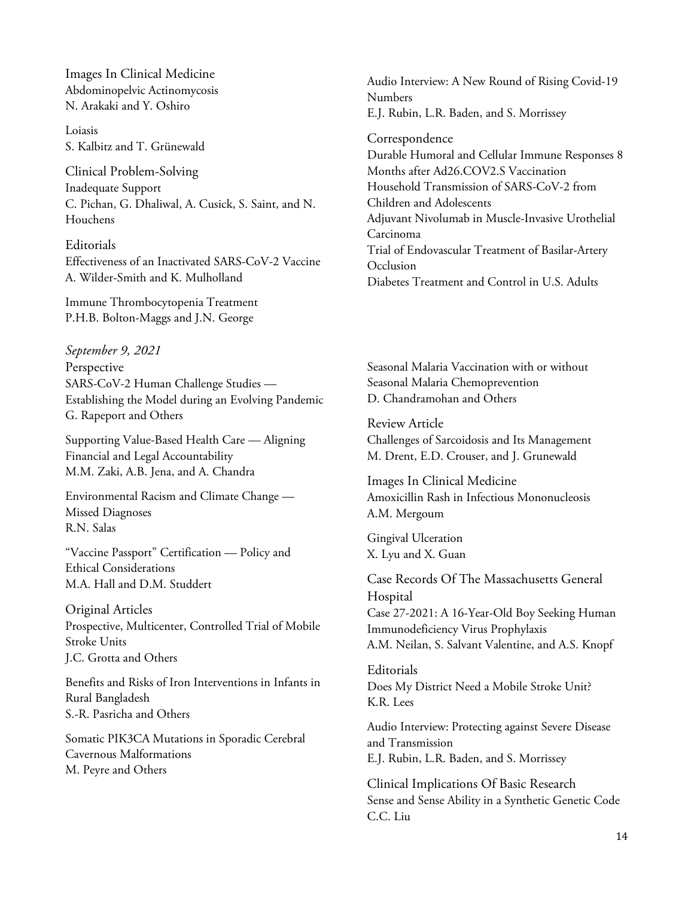Images In Clinical Medicine Abdominopelvic Actinomycosis N. Arakaki and Y. Oshiro

Loiasis S. Kalbitz and T. Grünewald

Clinical Problem-Solving Inadequate Support C. Pichan, G. Dhaliwal, A. Cusick, S. Saint, and N. Houchens

Editorials Effectiveness of an Inactivated SARS-CoV-2 Vaccine A. Wilder-Smith and K. Mulholland

Immune Thrombocytopenia Treatment P.H.B. Bolton-Maggs and J.N. George

*September 9, 2021* Perspective SARS-CoV-2 Human Challenge Studies — Establishing the Model during an Evolving Pandemic G. Rapeport and Others

Supporting Value-Based Health Care — Aligning Financial and Legal Accountability M.M. Zaki, A.B. Jena, and A. Chandra

Environmental Racism and Climate Change — Missed Diagnoses R.N. Salas

"Vaccine Passport" Certification — Policy and Ethical Considerations M.A. Hall and D.M. Studdert

Original Articles Prospective, Multicenter, Controlled Trial of Mobile Stroke Units J.C. Grotta and Others

Benefits and Risks of Iron Interventions in Infants in Rural Bangladesh S.-R. Pasricha and Others

Somatic PIK3CA Mutations in Sporadic Cerebral Cavernous Malformations M. Peyre and Others

Audio Interview: A New Round of Rising Covid-19 Numbers E.J. Rubin, L.R. Baden, and S. Morrissey

Correspondence Durable Humoral and Cellular Immune Responses 8 Months after Ad26.COV2.S Vaccination Household Transmission of SARS-CoV-2 from Children and Adolescents Adjuvant Nivolumab in Muscle-Invasive Urothelial Carcinoma Trial of Endovascular Treatment of Basilar-Artery **Occlusion** Diabetes Treatment and Control in U.S. Adults

Seasonal Malaria Vaccination with or without Seasonal Malaria Chemoprevention D. Chandramohan and Others

Review Article Challenges of Sarcoidosis and Its Management M. Drent, E.D. Crouser, and J. Grunewald

Images In Clinical Medicine Amoxicillin Rash in Infectious Mononucleosis A.M. Mergoum

Gingival Ulceration X. Lyu and X. Guan

Case Records Of The Massachusetts General Hospital Case 27-2021: A 16-Year-Old Boy Seeking Human Immunodeficiency Virus Prophylaxis A.M. Neilan, S. Salvant Valentine, and A.S. Knopf

Editorials Does My District Need a Mobile Stroke Unit? K.R. Lees

Audio Interview: Protecting against Severe Disease and Transmission E.J. Rubin, L.R. Baden, and S. Morrissey

Clinical Implications Of Basic Research Sense and Sense Ability in a Synthetic Genetic Code C.C. Liu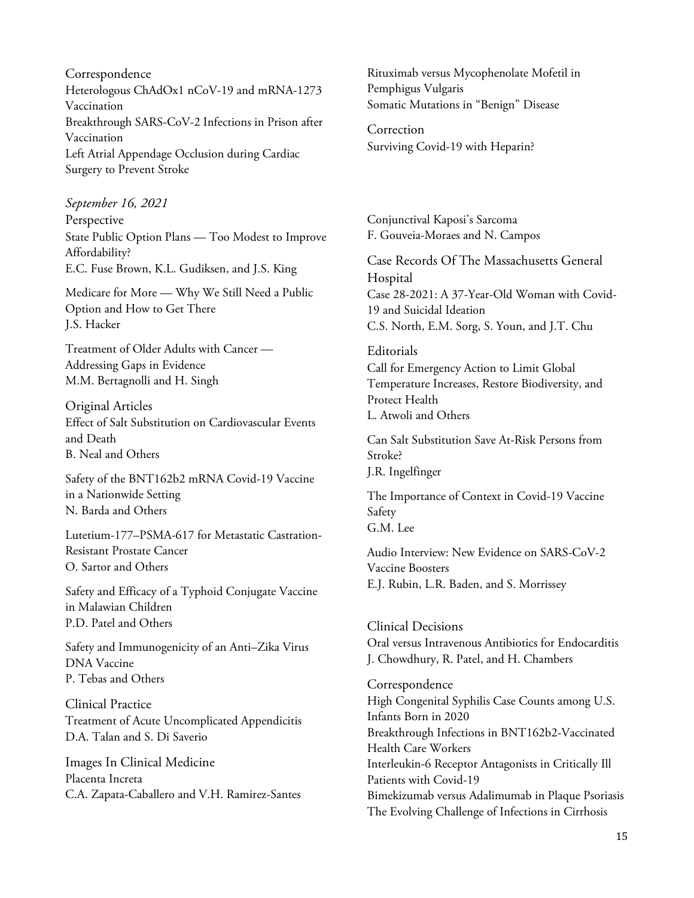Correspondence Heterologous ChAdOx1 nCoV-19 and mRNA-1273 Vaccination Breakthrough SARS-CoV-2 Infections in Prison after Vaccination Left Atrial Appendage Occlusion during Cardiac Surgery to Prevent Stroke

*September 16, 2021* Perspective State Public Option Plans — Too Modest to Improve Affordability? E.C. Fuse Brown, K.L. Gudiksen, and J.S. King

Medicare for More — Why We Still Need a Public Option and How to Get There J.S. Hacker

Treatment of Older Adults with Cancer — Addressing Gaps in Evidence M.M. Bertagnolli and H. Singh

Original Articles Effect of Salt Substitution on Cardiovascular Events and Death B. Neal and Others

Safety of the BNT162b2 mRNA Covid-19 Vaccine in a Nationwide Setting N. Barda and Others

Lutetium-177–PSMA-617 for Metastatic Castration-Resistant Prostate Cancer O. Sartor and Others

Safety and Efficacy of a Typhoid Conjugate Vaccine in Malawian Children P.D. Patel and Others

Safety and Immunogenicity of an Anti–Zika Virus DNA Vaccine P. Tebas and Others

Clinical Practice Treatment of Acute Uncomplicated Appendicitis D.A. Talan and S. Di Saverio

Images In Clinical Medicine Placenta Increta C.A. Zapata-Caballero and V.H. Ramirez-Santes Rituximab versus Mycophenolate Mofetil in Pemphigus Vulgaris Somatic Mutations in "Benign" Disease

Correction Surviving Covid-19 with Heparin?

Conjunctival Kaposi's Sarcoma F. Gouveia-Moraes and N. Campos

Case Records Of The Massachusetts General Hospital Case 28-2021: A 37-Year-Old Woman with Covid-19 and Suicidal Ideation C.S. North, E.M. Sorg, S. Youn, and J.T. Chu

Editorials Call for Emergency Action to Limit Global Temperature Increases, Restore Biodiversity, and Protect Health L. Atwoli and Others

Can Salt Substitution Save At-Risk Persons from Stroke? J.R. Ingelfinger

The Importance of Context in Covid-19 Vaccine Safety G.M. Lee

Audio Interview: New Evidence on SARS-CoV-2 Vaccine Boosters E.J. Rubin, L.R. Baden, and S. Morrissey

Clinical Decisions Oral versus Intravenous Antibiotics for Endocarditis J. Chowdhury, R. Patel, and H. Chambers

Correspondence High Congenital Syphilis Case Counts among U.S. Infants Born in 2020 Breakthrough Infections in BNT162b2-Vaccinated Health Care Workers Interleukin-6 Receptor Antagonists in Critically Ill Patients with Covid-19 Bimekizumab versus Adalimumab in Plaque Psoriasis The Evolving Challenge of Infections in Cirrhosis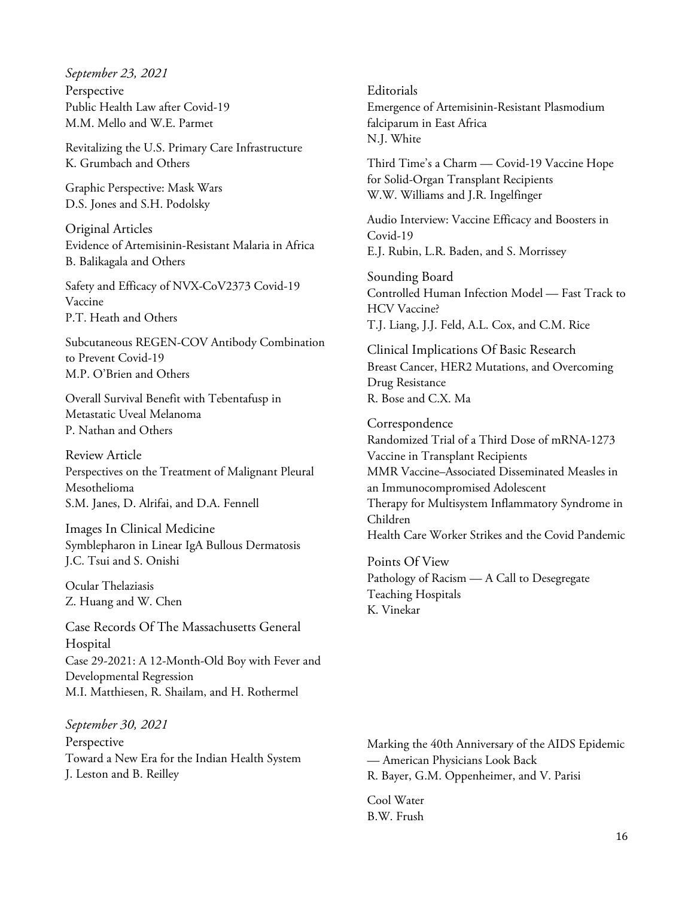*September 23, 2021*

Perspective Public Health Law after Covid-19 M.M. Mello and W.E. Parmet

Revitalizing the U.S. Primary Care Infrastructure K. Grumbach and Others

Graphic Perspective: Mask Wars D.S. Jones and S.H. Podolsky

Original Articles Evidence of Artemisinin-Resistant Malaria in Africa B. Balikagala and Others

Safety and Efficacy of NVX-CoV2373 Covid-19 Vaccine P.T. Heath and Others

Subcutaneous REGEN-COV Antibody Combination to Prevent Covid-19 M.P. O'Brien and Others

Overall Survival Benefit with Tebentafusp in Metastatic Uveal Melanoma P. Nathan and Others

Review Article Perspectives on the Treatment of Malignant Pleural Mesothelioma S.M. Janes, D. Alrifai, and D.A. Fennell

Images In Clinical Medicine Symblepharon in Linear IgA Bullous Dermatosis J.C. Tsui and S. Onishi

Ocular Thelaziasis Z. Huang and W. Chen

Case Records Of The Massachusetts General Hospital Case 29-2021: A 12-Month-Old Boy with Fever and Developmental Regression M.I. Matthiesen, R. Shailam, and H. Rothermel

*September 30, 2021* Perspective Toward a New Era for the Indian Health System J. Leston and B. Reilley

Editorials Emergence of Artemisinin-Resistant Plasmodium falciparum in East Africa N.J. White

Third Time's a Charm — Covid-19 Vaccine Hope for Solid-Organ Transplant Recipients W.W. Williams and J.R. Ingelfinger

Audio Interview: Vaccine Efficacy and Boosters in Covid-19 E.J. Rubin, L.R. Baden, and S. Morrissey

Sounding Board Controlled Human Infection Model — Fast Track to HCV Vaccine? T.J. Liang, J.J. Feld, A.L. Cox, and C.M. Rice

Clinical Implications Of Basic Research Breast Cancer, HER2 Mutations, and Overcoming Drug Resistance R. Bose and C.X. Ma

Correspondence Randomized Trial of a Third Dose of mRNA-1273 Vaccine in Transplant Recipients MMR Vaccine–Associated Disseminated Measles in an Immunocompromised Adolescent Therapy for Multisystem Inflammatory Syndrome in Children Health Care Worker Strikes and the Covid Pandemic

Points Of View Pathology of Racism — A Call to Desegregate Teaching Hospitals K. Vinekar

Marking the 40th Anniversary of the AIDS Epidemic — American Physicians Look Back R. Bayer, G.M. Oppenheimer, and V. Parisi

Cool Water B.W. Frush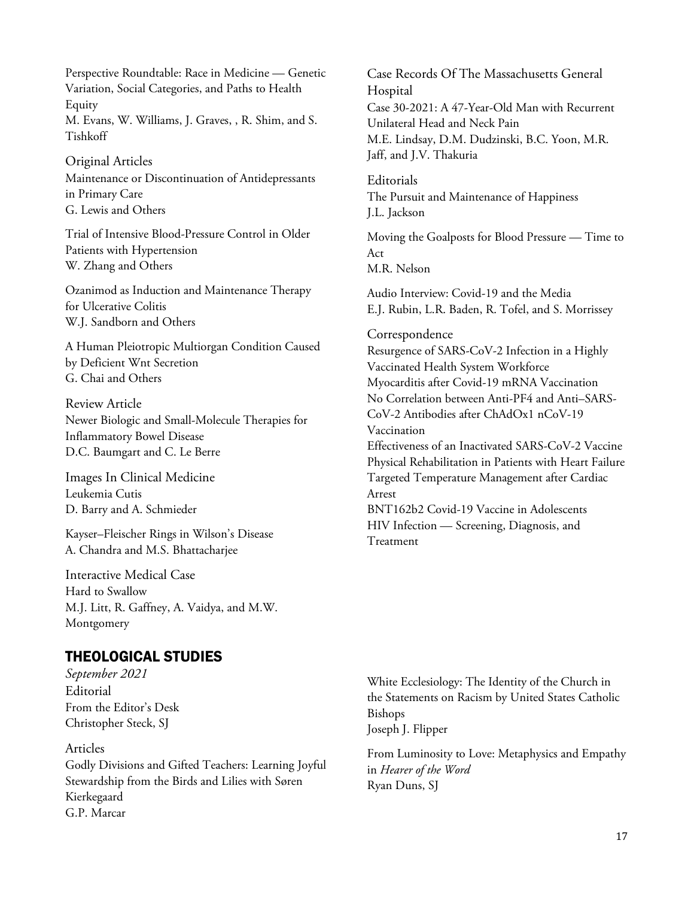Perspective Roundtable: Race in Medicine — Genetic Variation, Social Categories, and Paths to Health Equity M. Evans, W. Williams, J. Graves, , R. Shim, and S. Tishkoff

Original Articles Maintenance or Discontinuation of Antidepressants in Primary Care G. Lewis and Others

Trial of Intensive Blood-Pressure Control in Older Patients with Hypertension W. Zhang and Others

Ozanimod as Induction and Maintenance Therapy for Ulcerative Colitis W.J. Sandborn and Others

A Human Pleiotropic Multiorgan Condition Caused by Deficient Wnt Secretion G. Chai and Others

Review Article Newer Biologic and Small-Molecule Therapies for Inflammatory Bowel Disease D.C. Baumgart and C. Le Berre

Images In Clinical Medicine Leukemia Cutis D. Barry and A. Schmieder

Kayser–Fleischer Rings in Wilson's Disease A. Chandra and M.S. Bhattacharjee

Interactive Medical Case Hard to Swallow M.J. Litt, R. Gaffney, A. Vaidya, and M.W. Montgomery

# THEOLOGICAL STUDIES

*September 2021* **Editorial** From the Editor's Desk Christopher Steck, SJ

## Articles

Godly Divisions and Gifted Teachers: Learning Joyful Stewardship from the Birds and Lilies with Søren Kierkegaard G.P. Marcar

Case Records Of The Massachusetts General Hospital Case 30-2021: A 47-Year-Old Man with Recurrent Unilateral Head and Neck Pain M.E. Lindsay, D.M. Dudzinski, B.C. Yoon, M.R. Jaff, and J.V. Thakuria

Editorials The Pursuit and Maintenance of Happiness J.L. Jackson

Moving the Goalposts for Blood Pressure — Time to Act M.R. Nelson

Audio Interview: Covid-19 and the Media E.J. Rubin, L.R. Baden, R. Tofel, and S. Morrissey

#### **Correspondence**

Resurgence of SARS-CoV-2 Infection in a Highly Vaccinated Health System Workforce Myocarditis after Covid-19 mRNA Vaccination No Correlation between Anti-PF4 and Anti–SARS-CoV-2 Antibodies after ChAdOx1 nCoV-19 Vaccination Effectiveness of an Inactivated SARS-CoV-2 Vaccine Physical Rehabilitation in Patients with Heart Failure Targeted Temperature Management after Cardiac Arrest BNT162b2 Covid-19 Vaccine in Adolescents HIV Infection — Screening, Diagnosis, and Treatment

White Ecclesiology: The Identity of the Church in the Statements on Racism by United States Catholic Bishops Joseph J. Flipper

From Luminosity to Love: Metaphysics and Empathy in *Hearer of the Word* Ryan Duns, SJ